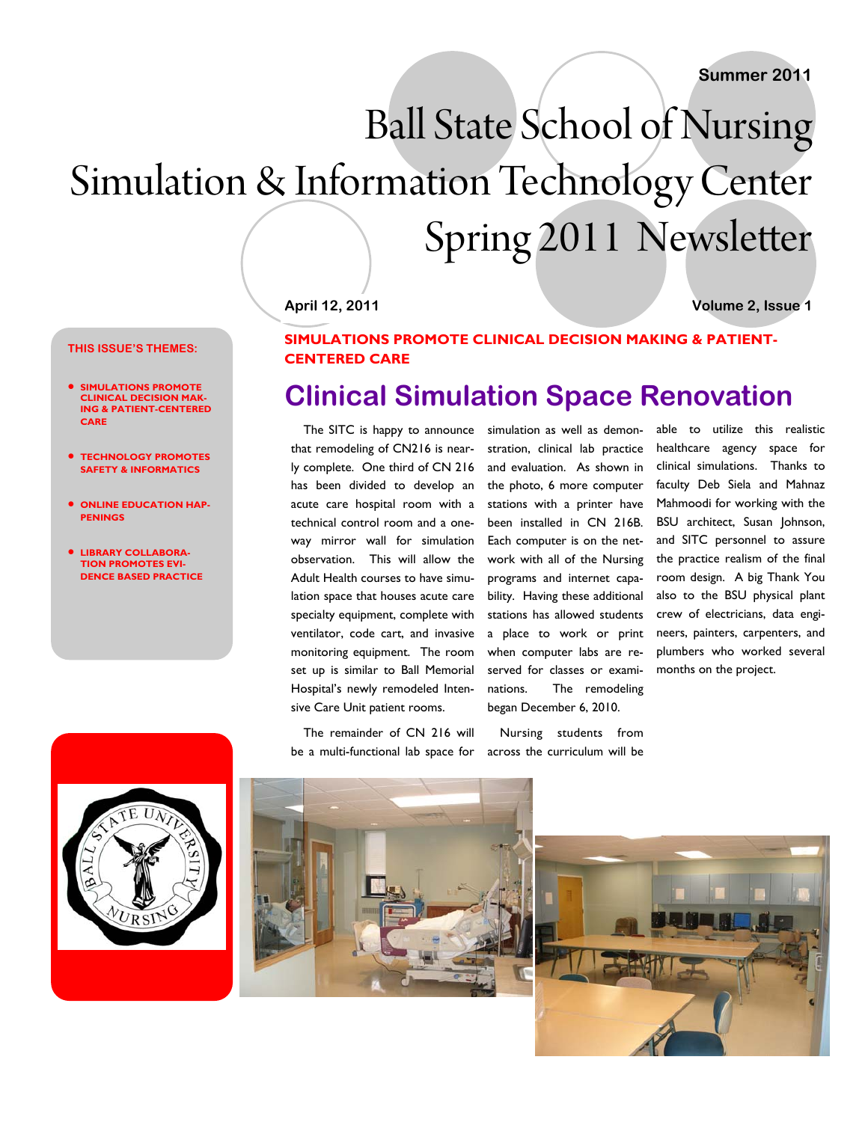# Ball State School of Nursing Simulation & Information Technology Center Spring 2011 Newsletter

**April 12, 2011 Volume 2, Issue 1** 

### **THIS ISSUE'S THEMES:**

- **SIMULATIONS PROMOTE CLINICAL DECISION MAK-ING & PATIENT-CENTERED CARE**
- **TECHNOLOGY PROMOTES SAFETY & INFORMATICS**
- **ONLINE EDUCATION HAP-PENINGS**
- **LIBRARY COLLABORA-TION PROMOTES EVI-DENCE BASED PRACTICE**



### **SIMULATIONS PROMOTE CLINICAL DECISION MAKING & PATIENT-CENTERED CARE**

# **Clinical Simulation Space Renovation**

The SITC is happy to announce that remodeling of CN216 is nearly complete. One third of CN 216 has been divided to develop an acute care hospital room with a technical control room and a oneway mirror wall for simulation observation. This will allow the Adult Health courses to have simulation space that houses acute care specialty equipment, complete with ventilator, code cart, and invasive monitoring equipment. The room set up is similar to Ball Memorial Hospital's newly remodeled Intensive Care Unit patient rooms.

The remainder of CN 216 will be a multi-functional lab space for simulation as well as demonstration, clinical lab practice and evaluation. As shown in the photo, 6 more computer stations with a printer have been installed in CN 216B. Each computer is on the network with all of the Nursing programs and internet capability. Having these additional stations has allowed students a place to work or print when computer labs are reserved for classes or examinations. The remodeling began December 6, 2010.

Nursing students from across the curriculum will be

able to utilize this realistic healthcare agency space for clinical simulations. Thanks to faculty Deb Siela and Mahnaz Mahmoodi for working with the BSU architect, Susan Johnson, and SITC personnel to assure the practice realism of the final room design. A big Thank You also to the BSU physical plant crew of electricians, data engineers, painters, carpenters, and plumbers who worked several months on the project.



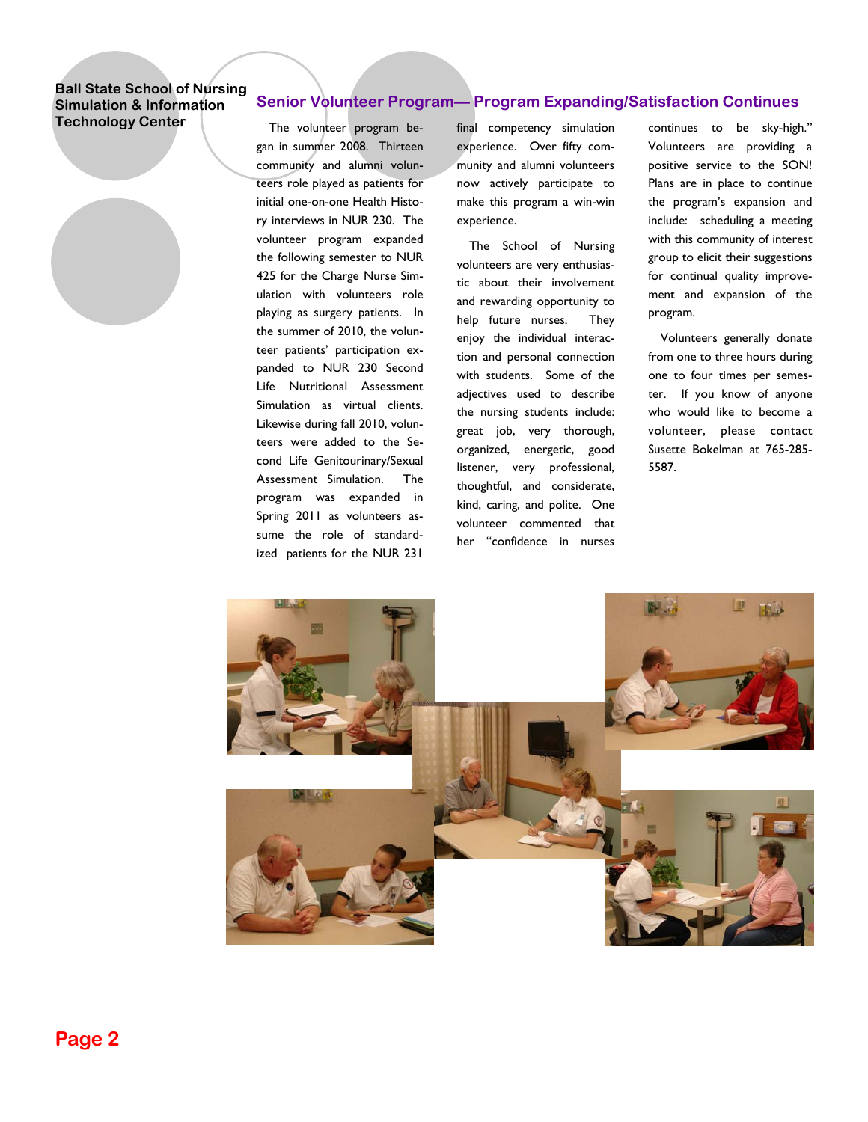### **Senior Volunteer Program— Program Expanding/Satisfaction Continues**

The volunteer program began in summer 2008. Thirteen community and alumni volunteers role played as patients for initial one-on-one Health History interviews in NUR 230. The volunteer program expanded the following semester to NUR 425 for the Charge Nurse Simulation with volunteers role playing as surgery patients. In the summer of 2010, the volunteer patients' participation expanded to NUR 230 Second Life Nutritional Assessment Simulation as virtual clients. Likewise during fall 2010, volunteers were added to the Second Life Genitourinary/Sexual Assessment Simulation. The program was expanded in Spring 2011 as volunteers assume the role of standardized patients for the NUR 231

final competency simulation experience. Over fifty community and alumni volunteers now actively participate to make this program a win-win experience.

The School of Nursing volunteers are very enthusiastic about their involvement and rewarding opportunity to help future nurses. They enjoy the individual interaction and personal connection with students. Some of the adjectives used to describe the nursing students include: great job, very thorough, organized, energetic, good listener, very professional, thoughtful, and considerate, kind, caring, and polite. One volunteer commented that her "confidence in nurses

continues to be sky-high." Volunteers are providing a positive service to the SON! Plans are in place to continue the program's expansion and include: scheduling a meeting with this community of interest group to elicit their suggestions for continual quality improvement and expansion of the program.

Volunteers generally donate from one to three hours during one to four times per semester. If you know of anyone who would like to become a volunteer, please contact Susette Bokelman at 765-285- 5587.

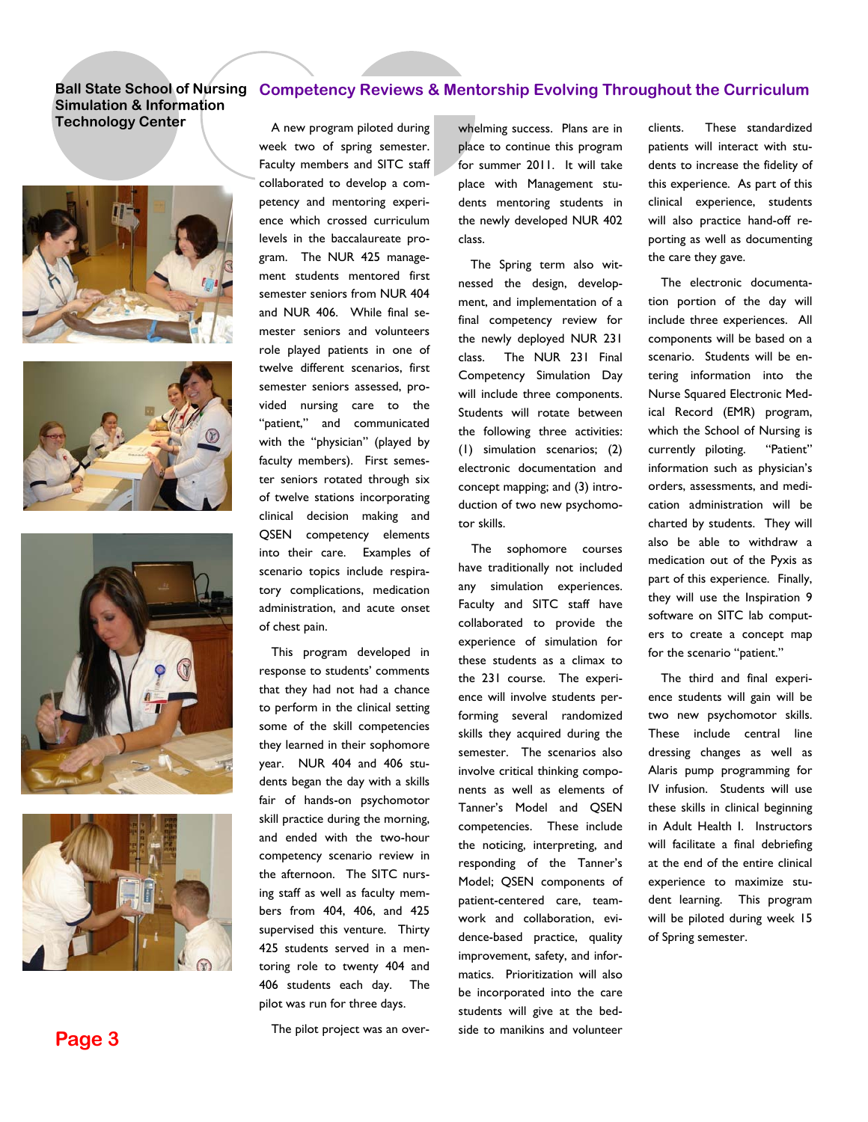### **Simulation & Information Technology Center A** new program piloted during whelming success. Plans are in









### Ball State School of Nursing Competency Reviews & Mentorship Evolving Throughout the Curriculum

A new program piloted during week two of spring semester. Faculty members and SITC staff collaborated to develop a competency and mentoring experience which crossed curriculum levels in the baccalaureate program. The NUR 425 management students mentored first semester seniors from NUR 404 and NUR 406. While final semester seniors and volunteers role played patients in one of twelve different scenarios, first semester seniors assessed, provided nursing care to the "patient," and communicated with the "physician" (played by faculty members). First semester seniors rotated through six of twelve stations incorporating clinical decision making and QSEN competency elements into their care. Examples of scenario topics include respiratory complications, medication administration, and acute onset of chest pain.

This program developed in response to students' comments that they had not had a chance to perform in the clinical setting some of the skill competencies they learned in their sophomore year. NUR 404 and 406 students began the day with a skills fair of hands-on psychomotor skill practice during the morning, and ended with the two-hour competency scenario review in the afternoon. The SITC nursing staff as well as faculty members from 404, 406, and 425 supervised this venture. Thirty 425 students served in a mentoring role to twenty 404 and 406 students each day. The pilot was run for three days.

**Page 3** The pilot project was an over-

place to continue this program for summer 2011. It will take place with Management students mentoring students in the newly developed NUR 402 class.

The Spring term also witnessed the design, development, and implementation of a final competency review for the newly deployed NUR 231 class. The NUR 231 Final Competency Simulation Day will include three components. Students will rotate between the following three activities: (1) simulation scenarios; (2) electronic documentation and concept mapping; and (3) introduction of two new psychomotor skills.

The sophomore courses have traditionally not included any simulation experiences. Faculty and SITC staff have collaborated to provide the experience of simulation for these students as a climax to the 231 course. The experience will involve students performing several randomized skills they acquired during the semester. The scenarios also involve critical thinking components as well as elements of Tanner's Model and QSEN competencies. These include the noticing, interpreting, and responding of the Tanner's Model; QSEN components of patient-centered care, teamwork and collaboration, evidence-based practice, quality improvement, safety, and informatics. Prioritization will also be incorporated into the care students will give at the bedside to manikins and volunteer

clients. These standardized patients will interact with students to increase the fidelity of this experience. As part of this clinical experience, students will also practice hand-off reporting as well as documenting the care they gave.

The electronic documentation portion of the day will include three experiences. All components will be based on a scenario. Students will be entering information into the Nurse Squared Electronic Medical Record (EMR) program, which the School of Nursing is currently piloting. "Patient" information such as physician's orders, assessments, and medication administration will be charted by students. They will also be able to withdraw a medication out of the Pyxis as part of this experience. Finally, they will use the Inspiration 9 software on SITC lab computers to create a concept map for the scenario "patient."

The third and final experience students will gain will be two new psychomotor skills. These include central line dressing changes as well as Alaris pump programming for IV infusion. Students will use these skills in clinical beginning in Adult Health I. Instructors will facilitate a final debriefing at the end of the entire clinical experience to maximize student learning. This program will be piloted during week 15 of Spring semester.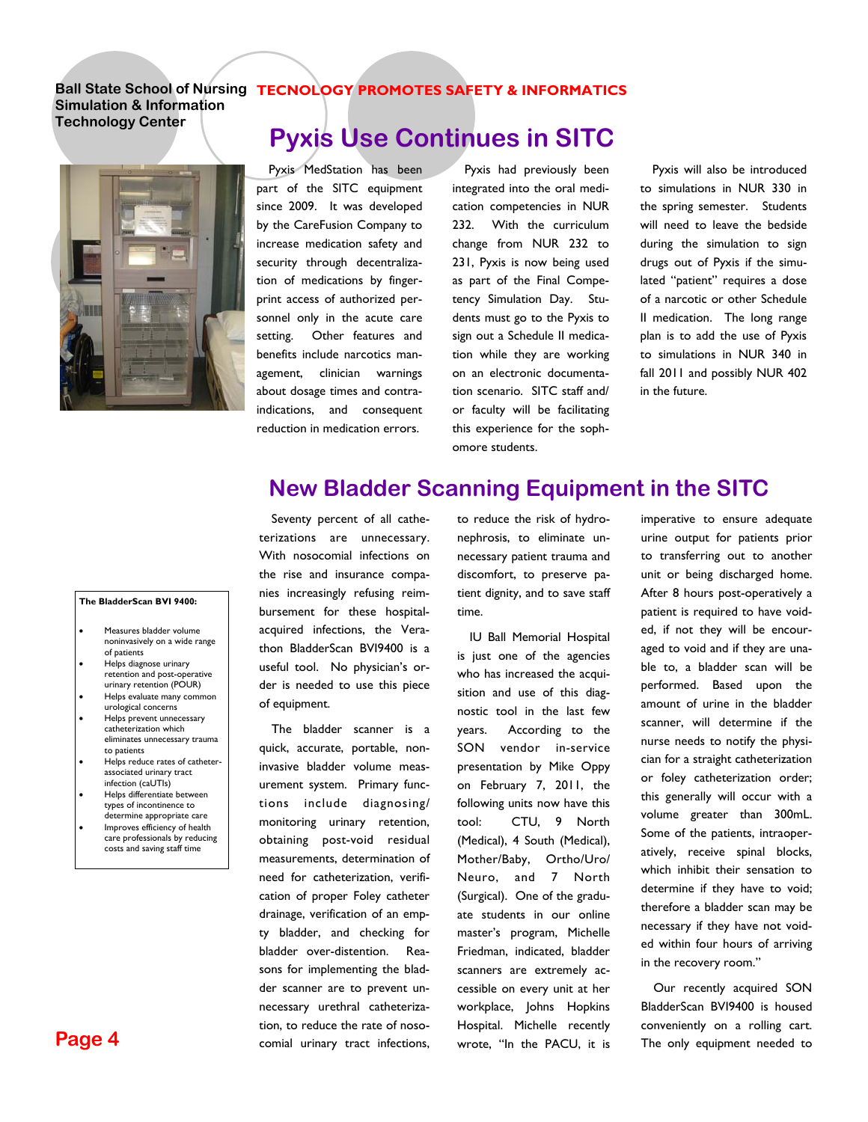### **Ball State School of Nursing TECNOLOGY PROMOTES SAFETY & INFORMATICS**

**Simulation & Information Technology Center** 



Pyxis MedStation has been part of the SITC equipment since 2009. It was developed by the CareFusion Company to increase medication safety and security through decentralization of medications by fingerprint access of authorized personnel only in the acute care setting. Other features and benefits include narcotics management, clinician warnings about dosage times and contraindications, and consequent reduction in medication errors.

Pyxis had previously been integrated into the oral medication competencies in NUR 232. With the curriculum change from NUR 232 to 231, Pyxis is now being used as part of the Final Competency Simulation Day. Students must go to the Pyxis to sign out a Schedule II medication while they are working on an electronic documentation scenario. SITC staff and/ or faculty will be facilitating this experience for the sophomore students.

Pyxis will also be introduced to simulations in NUR 330 in the spring semester. Students will need to leave the bedside during the simulation to sign drugs out of Pyxis if the simulated "patient" requires a dose of a narcotic or other Schedule II medication. The long range plan is to add the use of Pyxis to simulations in NUR 340 in fall 2011 and possibly NUR 402 in the future.

### **New Bladder Scanning Equipment in the SITC**

#### **The BladderScan BVI 9400:**

- Measures bladder volume noninvasively on a wide range of patients
- Helps diagnose urinary retention and post-operative urinary retention (POUR)
- Helps evaluate many common urological concerns
- Helps prevent unnecessary catheterization which eliminates unnecessary trauma to patients
- Helps reduce rates of catheterassociated urinary tract infection (caUTIs)
- Helps differentiate between types of incontinence to determine appropriate care
- Improves efficiency of health care professionals by reducing costs and saving staff time

**Page 4** 

Seventy percent of all catheterizations are unnecessary. With nosocomial infections on the rise and insurance companies increasingly refusing reimbursement for these hospitalacquired infections, the Verathon BladderScan BVI9400 is a useful tool. No physician's order is needed to use this piece of equipment.

The bladder scanner is a quick, accurate, portable, noninvasive bladder volume measurement system. Primary functions include diagnosing/ monitoring urinary retention, obtaining post-void residual measurements, determination of need for catheterization, verification of proper Foley catheter drainage, verification of an empty bladder, and checking for bladder over-distention. Reasons for implementing the bladder scanner are to prevent unnecessary urethral catheterization, to reduce the rate of nosocomial urinary tract infections, to reduce the risk of hydronephrosis, to eliminate unnecessary patient trauma and discomfort, to preserve patient dignity, and to save staff time.

IU Ball Memorial Hospital is just one of the agencies who has increased the acquisition and use of this diagnostic tool in the last few years. According to the SON vendor in-service presentation by Mike Oppy on February 7, 2011, the following units now have this tool: CTU, 9 North (Medical), 4 South (Medical), Mother/Baby, Ortho/Uro/ Neuro, and 7 North (Surgical). One of the graduate students in our online master's program, Michelle Friedman, indicated, bladder scanners are extremely accessible on every unit at her workplace, Johns Hopkins Hospital. Michelle recently wrote, "In the PACU, it is

imperative to ensure adequate urine output for patients prior to transferring out to another unit or being discharged home. After 8 hours post-operatively a patient is required to have voided, if not they will be encouraged to void and if they are unable to, a bladder scan will be performed. Based upon the amount of urine in the bladder scanner, will determine if the nurse needs to notify the physician for a straight catheterization or foley catheterization order; this generally will occur with a volume greater than 300mL. Some of the patients, intraoperatively, receive spinal blocks, which inhibit their sensation to determine if they have to void; therefore a bladder scan may be necessary if they have not voided within four hours of arriving in the recovery room."

Our recently acquired SON BladderScan BVI9400 is housed conveniently on a rolling cart. The only equipment needed to

**Pyxis Use Continues in SITC**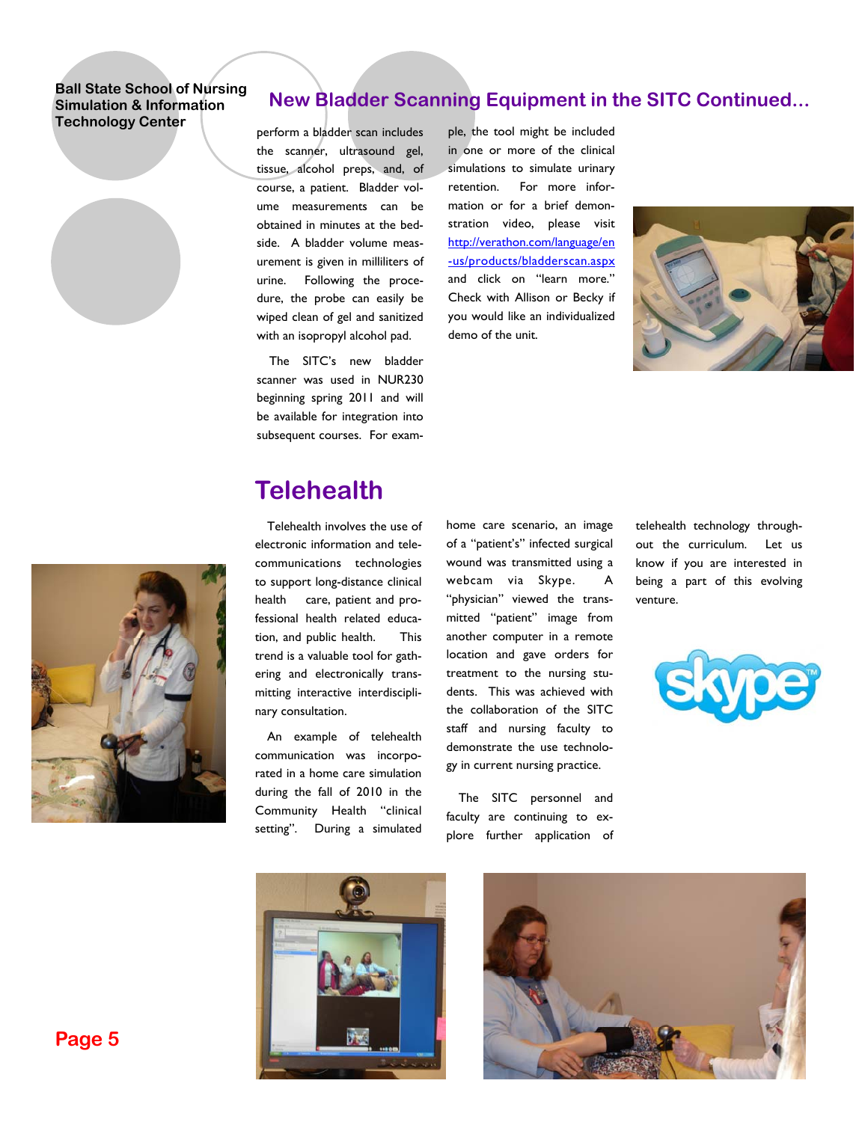### **New Bladder Scanning Equipment in the SITC Continued...**

perform a bladder scan includes the scanner, ultrasound gel, tissue, alcohol preps, and, of course, a patient. Bladder volume measurements can be obtained in minutes at the bedside. A bladder volume measurement is given in milliliters of urine. Following the procedure, the probe can easily be wiped clean of gel and sanitized with an isopropyl alcohol pad.

The SITC's new bladder scanner was used in NUR230 beginning spring 2011 and will be available for integration into subsequent courses. For example, the tool might be included in one or more of the clinical simulations to simulate urinary retention. For more information or for a brief demonstration video, please visit http://verathon.com/language/en -us/products/bladderscan.aspx and click on "learn more." Check with Allison or Becky if you would like an individualized demo of the unit.





# **Telehealth**

Telehealth involves the use of electronic information and telecommunications technologies to support long-distance clinical health care, patient and professional health related education, and public health. This trend is a valuable tool for gathering and electronically transmitting interactive interdisciplinary consultation.

An example of telehealth communication was incorporated in a home care simulation during the fall of 2010 in the Community Health "clinical setting". During a simulated home care scenario, an image of a "patient's" infected surgical wound was transmitted using a webcam via Skype. A "physician" viewed the transmitted "patient" image from another computer in a remote location and gave orders for treatment to the nursing students. This was achieved with the collaboration of the SITC staff and nursing faculty to demonstrate the use technology in current nursing practice.

The SITC personnel and faculty are continuing to explore further application of telehealth technology throughout the curriculum. Let us know if you are interested in being a part of this evolving venture.







**Page 5**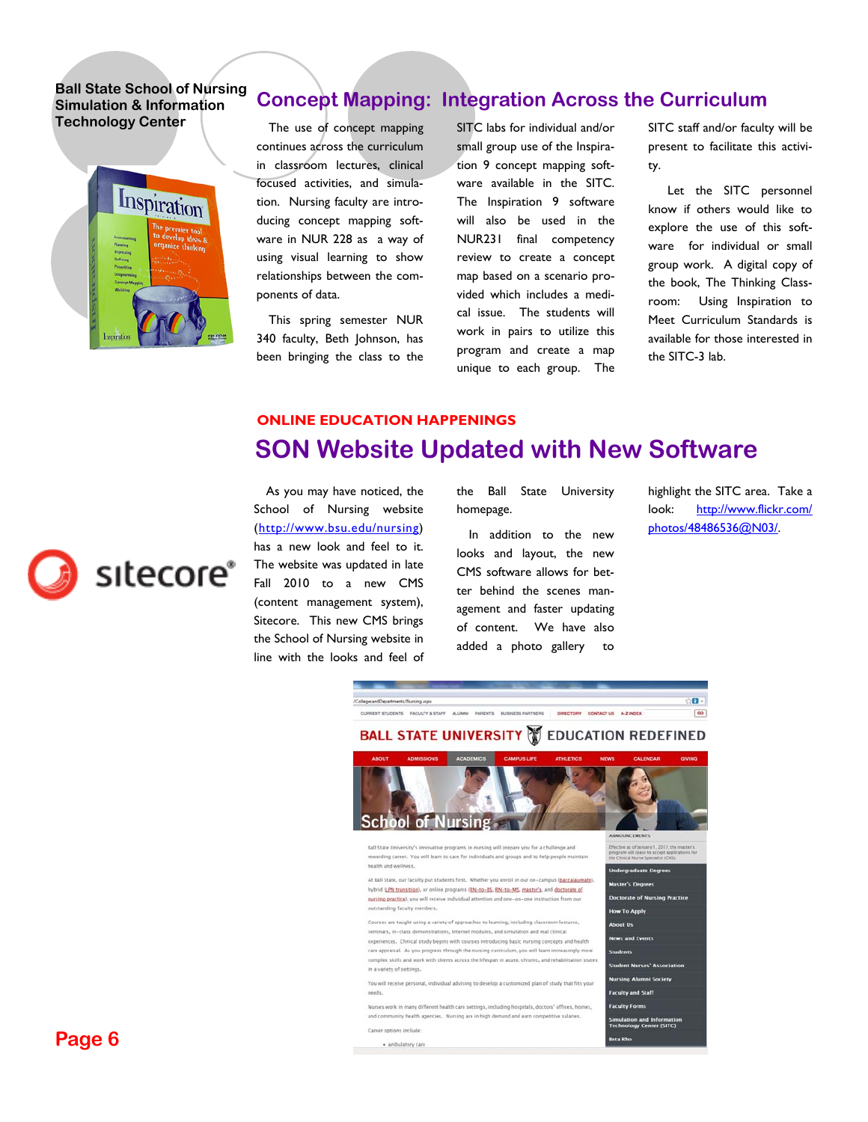

### **Concept Mapping: Integration Across the Curriculum**

The use of concept mapping continues across the curriculum in classroom lectures, clinical focused activities, and simulation. Nursing faculty are introducing concept mapping software in NUR 228 as a way of using visual learning to show relationships between the components of data.

This spring semester NUR 340 faculty, Beth Johnson, has been bringing the class to the SITC labs for individual and/or small group use of the Inspiration 9 concept mapping software available in the SITC. The Inspiration 9 software will also be used in the NUR231 final competency review to create a concept map based on a scenario provided which includes a medical issue. The students will work in pairs to utilize this program and create a map unique to each group. The SITC staff and/or faculty will be present to facilitate this activity.

 Let the SITC personnel know if others would like to explore the use of this software for individual or small group work. A digital copy of the book, The Thinking Classroom: Using Inspiration to Meet Curriculum Standards is available for those interested in the SITC-3 lab.

### **SON Website Updated with New Software ONLINE EDUCATION HAPPENINGS**



the Ball State University homepage.

In addition to the new looks and layout, the new CMS software allows for better behind the scenes management and faster updating of content. We have also added a photo gallery to

highlight the SITC area. Take a look: http://www.flickr.com/ photos/48486536@N03/.



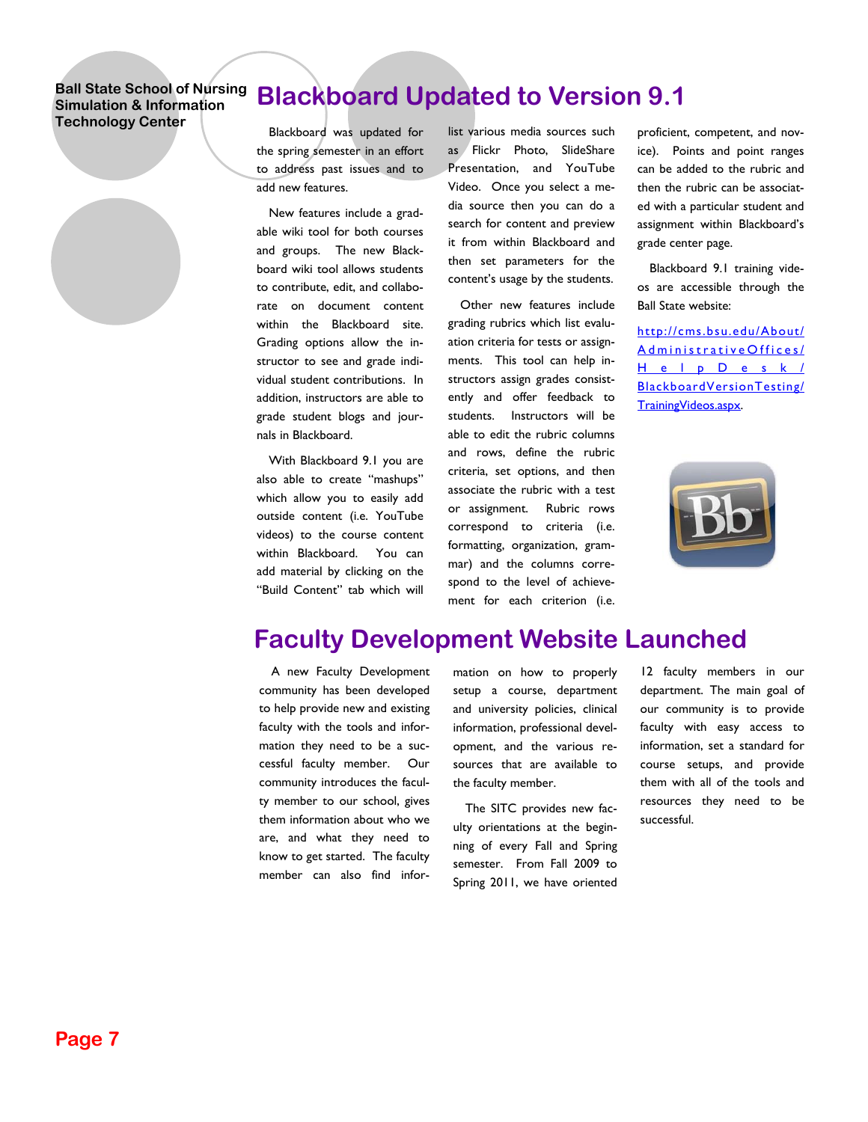# **Blackboard Updated to Version 9.1**

Blackboard was updated for the spring semester in an effort to address past issues and to add new features.

New features include a gradable wiki tool for both courses and groups. The new Blackboard wiki tool allows students to contribute, edit, and collaborate on document content within the Blackboard site. Grading options allow the instructor to see and grade individual student contributions. In addition, instructors are able to grade student blogs and journals in Blackboard.

With Blackboard 9.1 you are also able to create "mashups" which allow you to easily add outside content (i.e. YouTube videos) to the course content within Blackboard. You can add material by clicking on the "Build Content" tab which will list various media sources such as Flickr Photo, SlideShare Presentation, and YouTube Video. Once you select a media source then you can do a search for content and preview it from within Blackboard and then set parameters for the content's usage by the students.

Other new features include grading rubrics which list evaluation criteria for tests or assignments. This tool can help instructors assign grades consistently and offer feedback to students. Instructors will be able to edit the rubric columns and rows, define the rubric criteria, set options, and then associate the rubric with a test or assignment. Rubric rows correspond to criteria (i.e. formatting, organization, grammar) and the columns correspond to the level of achievement for each criterion (i.e.

proficient, competent, and novice). Points and point ranges can be added to the rubric and then the rubric can be associated with a particular student and assignment within Blackboard's grade center page.

Blackboard 9.1 training videos are accessible through the Ball State website:

http://cms.bsu.edu/About/ AdministrativeOffices/ HelpDesk/ BlackboardVersionTesting/ TrainingVideos.aspx.



## **Faculty Development Website Launched**

A new Faculty Development community has been developed to help provide new and existing faculty with the tools and information they need to be a successful faculty member. Our community introduces the faculty member to our school, gives them information about who we are, and what they need to know to get started. The faculty member can also find information on how to properly setup a course, department and university policies, clinical information, professional development, and the various resources that are available to the faculty member.

The SITC provides new faculty orientations at the beginning of every Fall and Spring semester. From Fall 2009 to Spring 2011, we have oriented

12 faculty members in our department. The main goal of our community is to provide faculty with easy access to information, set a standard for course setups, and provide them with all of the tools and resources they need to be successful.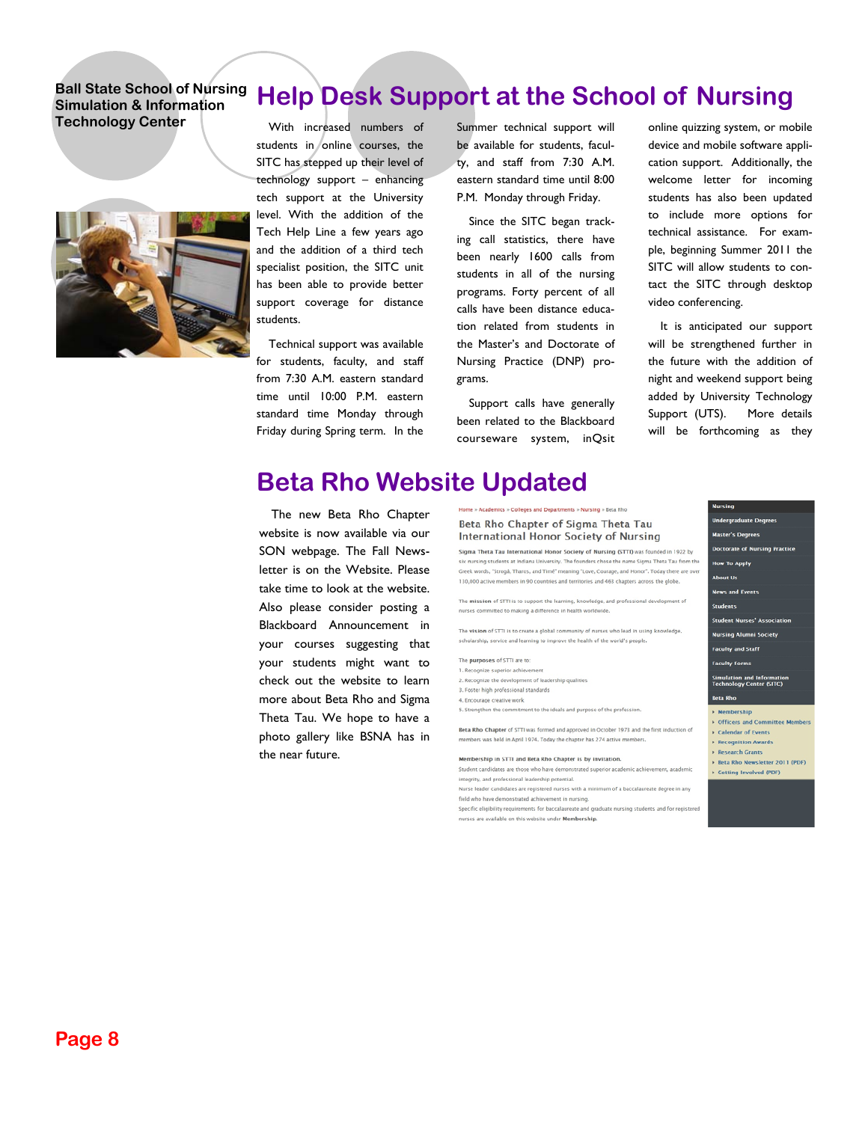

With increased numbers of students in online courses, the SITC has stepped up their level of technology support – enhancing tech support at the University level. With the addition of the Tech Help Line a few years ago and the addition of a third tech specialist position, the SITC unit has been able to provide better support coverage for distance

Technical support was available for students, faculty, and staff from 7:30 A.M. eastern standard time until 10:00 P.M. eastern standard time Monday through Friday during Spring term. In the

Summer technical support will be available for students, faculty, and staff from 7:30 A.M. eastern standard time until 8:00 P.M. Monday through Friday.

**Help Desk Support at the School of Nursing** 

Since the SITC began tracking call statistics, there have been nearly 1600 calls from students in all of the nursing programs. Forty percent of all calls have been distance education related from students in the Master's and Doctorate of Nursing Practice (DNP) programs.

Support calls have generally been related to the Blackboard courseware system, inQsit

leges and Depart

online quizzing system, or mobile device and mobile software application support. Additionally, the welcome letter for incoming students has also been updated to include more options for technical assistance. For example, beginning Summer 2011 the SITC will allow students to contact the SITC through desktop video conferencing.

It is anticipated our support will be strengthened further in the future with the addition of night and weekend support being added by University Technology Support (UTS). More details will be forthcoming as they

### **Beta Rho Website Updated**

The new Beta Rho Chapter website is now available via our SON webpage. The Fall Newsletter is on the Website. Please take time to look at the website. Also please consider posting a Blackboard Announcement in your courses suggesting that your students might want to check out the website to learn more about Beta Rho and Sigma Theta Tau. We hope to have a photo gallery like BSNA has in the near future.

Beta Rho Chapter of Sigma Theta Tau **International Honor Society of Nursing** Sigma Theta Tau International Honor Society of Nursing (STTI) was founded in 1922 by .<br>nursing students at Indiana University. The founders chose the name Sigma Theta Tau fro Greek words, "Strogå, Tharos, and Timé" meaning "Love, Courage, and Honor". Today there are over 130,000 active members in 90 countries and territories and 463 chapters across the globe. The mission of STTI is to support the learning, knowledge, and professional development of nurses committed to making a difference in health worldwi The vision of STTI is to create a global community of nurses who lead in using knowledge. scholarship, service and learning to improve the health of the world's people. The purposes of STTI are to: 1. Recognize superior achieveme 2. Recognize the development of leadership qualities 3. Foster high professional standards 4. Encourage creative work 5. Strengthen the commitment to the ideals and purpose of the profession

Beta Rho Chapter of STTI was formed and approved in October 1973 and the first induction of members was held in April 1974. Today the chapter has 274 active members

Membership in STTI and Beta Rho Chapter is by invitation

Student candidates are those who have demonstrated superior academic achievement, academic integrity, and professional leadership potential. Nurse leader candidates are registered nurses with a minimum of a baccalaureate degree in any

field who have demonstrated achievement in nursing.

Specific eligibility requirements for baccalaureate and graduate nursing students and for regist nurses are available on this website under Membership.

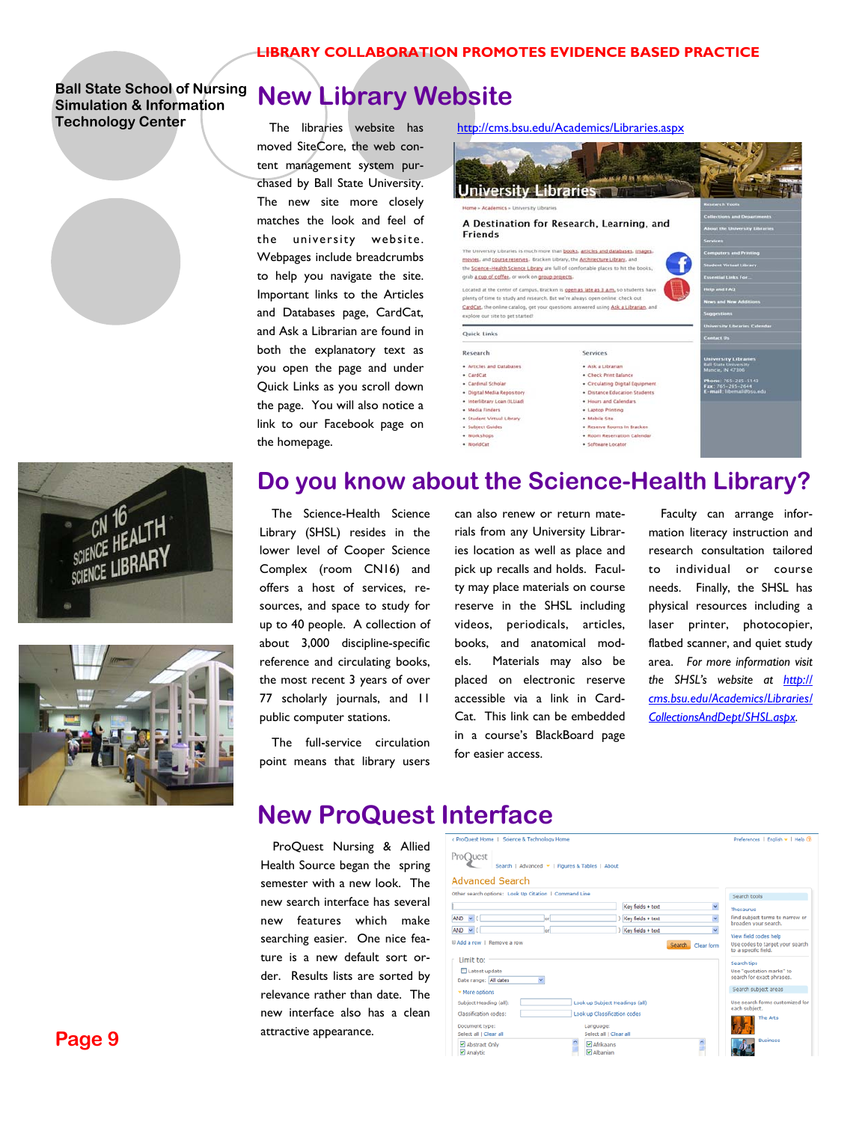



# **New Library Website**

The libraries website has moved SiteCore, the web content management system purchased by Ball State University. The new site more closely matches the look and feel of the university website. Webpages include breadcrumbs to help you navigate the site. Important links to the Articles and Databases page, CardCat, and Ask a Librarian are found in both the explanatory text as you open the page and under Quick Links as you scroll down the page. You will also notice a link to our Facebook page on the homepage.

#### http://cms.bsu.edu/Academics/Libraries.aspx



### **Do you know about the Science-Health Library?**

The Science-Health Science Library (SHSL) resides in the lower level of Cooper Science Complex (room CN16) and offers a host of services, resources, and space to study for up to 40 people. A collection of about 3,000 discipline-specific reference and circulating books, the most recent 3 years of over 77 scholarly journals, and 11 public computer stations.

The full-service circulation point means that library users can also renew or return materials from any University Libraries location as well as place and pick up recalls and holds. Faculty may place materials on course reserve in the SHSL including videos, periodicals, articles, books, and anatomical models. Materials may also be placed on electronic reserve accessible via a link in Card-Cat. This link can be embedded in a course's BlackBoard page for easier access.

Faculty can arrange information literacy instruction and research consultation tailored to individual or course needs. Finally, the SHSL has physical resources including a laser printer, photocopier, flatbed scanner, and quiet study area. *For more information visit the SHSL's website at http:// cms.bsu.edu/Academics/Libraries/ CollectionsAndDept/SHSL.aspx.* 

### **New ProQuest Interface**

ProQuest Nursing & Allied Health Source began the spring semester with a new look. The new search interface has several new features which make searching easier. One nice feature is a new default sort order. Results lists are sorted by relevance rather than date. The new interface also has a clean attractive appearance.

| < ProDuest Home   Science & Technology Home                                                                   |                                                                                                       |                                                             | Preferences   English =   Help (?)                                                   |
|---------------------------------------------------------------------------------------------------------------|-------------------------------------------------------------------------------------------------------|-------------------------------------------------------------|--------------------------------------------------------------------------------------|
| ProQuest                                                                                                      | Search   Advanced =   Figures & Tables   About                                                        |                                                             |                                                                                      |
| <b>Advanced Search</b>                                                                                        |                                                                                                       |                                                             |                                                                                      |
| Other search options: Look Up Citation   Command Line                                                         |                                                                                                       |                                                             | Search tools                                                                         |
| $AND \lor ($                                                                                                  | lori                                                                                                  | Key fields + text<br>v<br>Key fields + text<br>$\mathbf{v}$ | Thesaurus<br>Find subject terms to narrow or<br>broaden your search.                 |
| <b>AND</b><br>$\sim$ (<br>E Add a row   Remove a row                                                          | lori                                                                                                  | Key fields + text<br>v<br>Search.<br>Clear form             | View field codes help<br>Use codes to target your search<br>to a specific field.     |
| Limit to:<br>Latest update<br>Date range: All dates                                                           |                                                                                                       |                                                             | Search tips<br>Use "quotation marks" to<br>search for exact phrases.                 |
| ▼ More options<br>Subject Heading (all):<br>Classification codes:<br>Document type:<br>Select all   Clear all | Look up Subject Headings (all)<br>Look up Classification codes<br>Language:<br>Select all   Clear all |                                                             | Search subject areas<br>Use search forms customized for<br>each subject.<br>The Arts |
| Abstract Only<br>R Analytic                                                                                   |                                                                                                       | M Afrikaans<br><b>Z</b> Albanian                            | Rusiness                                                                             |